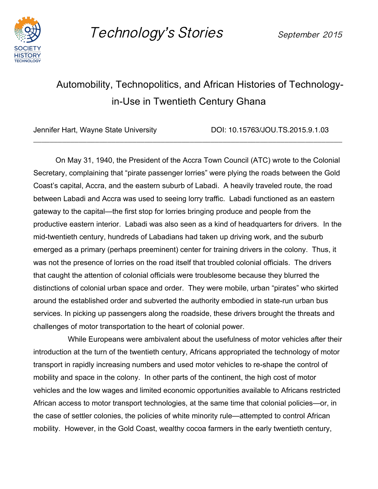

Technology's Stories September 2015

## Automobility, Technopolitics, and African Histories of Technologyin-Use in Twentieth Century Ghana

\_\_\_\_\_\_\_\_\_\_\_\_\_\_\_\_\_\_\_\_\_\_\_\_\_\_\_\_\_\_\_\_\_\_\_\_\_\_\_\_\_\_\_\_\_\_\_\_\_\_\_\_\_\_\_\_\_\_\_\_\_\_\_\_\_\_\_\_\_\_\_\_\_\_\_

Jennifer Hart, Wayne State University DOI: 10.15763/JOU.TS.2015.9.1.03

On May 31, 1940, the President of the Accra Town Council (ATC) wrote to the Colonial Secretary, complaining that "pirate passenger lorries" were plying the roads between the Gold Coast's capital, Accra, and the eastern suburb of Labadi. A heavily traveled route, the road between Labadi and Accra was used to seeing lorry traffic. Labadi functioned as an eastern gateway to the capital—the first stop for lorries bringing produce and people from the productive eastern interior. Labadi was also seen as a kind of headquarters for drivers. In the mid-twentieth century, hundreds of Labadians had taken up driving work, and the suburb emerged as a primary (perhaps preeminent) center for training drivers in the colony. Thus, it was not the presence of lorries on the road itself that troubled colonial officials. The drivers that caught the attention of colonial officials were troublesome because they blurred the distinctions of colonial urban space and order. They were mobile, urban "pirates" who skirted around the established order and subverted the authority embodied in state-run urban bus services. In picking up passengers along the roadside, these drivers brought the threats and challenges of motor transportation to the heart of colonial power.

 While Europeans were ambivalent about the usefulness of motor vehicles after their introduction at the turn of the twentieth century, Africans appropriated the technology of motor transport in rapidly increasing numbers and used motor vehicles to re-shape the control of mobility and space in the colony. In other parts of the continent, the high cost of motor vehicles and the low wages and limited economic opportunities available to Africans restricted African access to motor transport technologies, at the same time that colonial policies—or, in the case of settler colonies, the policies of white minority rule—attempted to control African mobility. However, in the Gold Coast, wealthy cocoa farmers in the early twentieth century,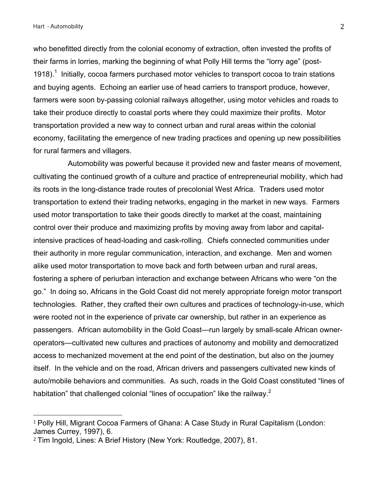who benefitted directly from the colonial economy of extraction, often invested the profits of their farms in lorries, marking the beginning of what Polly Hill terms the "lorry age" (post-1918).<sup>1</sup> Initially, cocoa farmers purchased motor vehicles to transport cocoa to train stations and buying agents. Echoing an earlier use of head carriers to transport produce, however, farmers were soon by-passing colonial railways altogether, using motor vehicles and roads to take their produce directly to coastal ports where they could maximize their profits. Motor transportation provided a new way to connect urban and rural areas within the colonial economy, facilitating the emergence of new trading practices and opening up new possibilities for rural farmers and villagers.

 Automobility was powerful because it provided new and faster means of movement, cultivating the continued growth of a culture and practice of entrepreneurial mobility, which had its roots in the long-distance trade routes of precolonial West Africa. Traders used motor transportation to extend their trading networks, engaging in the market in new ways. Farmers used motor transportation to take their goods directly to market at the coast, maintaining control over their produce and maximizing profits by moving away from labor and capitalintensive practices of head-loading and cask-rolling. Chiefs connected communities under their authority in more regular communication, interaction, and exchange. Men and women alike used motor transportation to move back and forth between urban and rural areas, fostering a sphere of periurban interaction and exchange between Africans who were "on the go." In doing so, Africans in the Gold Coast did not merely appropriate foreign motor transport technologies. Rather, they crafted their own cultures and practices of technology-in-use, which were rooted not in the experience of private car ownership, but rather in an experience as passengers. African automobility in the Gold Coast—run largely by small-scale African owneroperators—cultivated new cultures and practices of autonomy and mobility and democratized access to mechanized movement at the end point of the destination, but also on the journey itself. In the vehicle and on the road, African drivers and passengers cultivated new kinds of auto/mobile behaviors and communities. As such, roads in the Gold Coast constituted "lines of habitation" that challenged colonial "lines of occupation" like the railway.<sup>2</sup>

 

<sup>1</sup> Polly Hill, Migrant Cocoa Farmers of Ghana: A Case Study in Rural Capitalism (London: James Currey, 1997), 6.

<sup>2</sup> Tim Ingold, Lines: A Brief History (New York: Routledge, 2007), 81.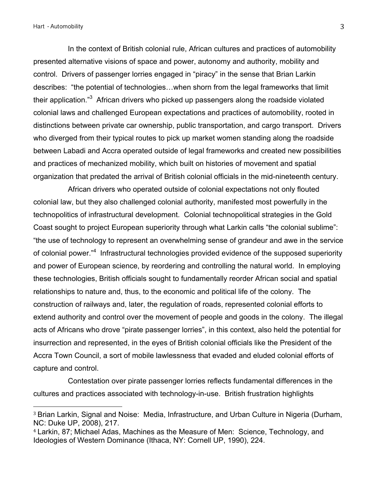In the context of British colonial rule, African cultures and practices of automobility presented alternative visions of space and power, autonomy and authority, mobility and control. Drivers of passenger lorries engaged in "piracy" in the sense that Brian Larkin describes: "the potential of technologies…when shorn from the legal frameworks that limit their application." $3$  African drivers who picked up passengers along the roadside violated colonial laws and challenged European expectations and practices of automobility, rooted in distinctions between private car ownership, public transportation, and cargo transport. Drivers who diverged from their typical routes to pick up market women standing along the roadside between Labadi and Accra operated outside of legal frameworks and created new possibilities and practices of mechanized mobility, which built on histories of movement and spatial organization that predated the arrival of British colonial officials in the mid-nineteenth century.

 African drivers who operated outside of colonial expectations not only flouted colonial law, but they also challenged colonial authority, manifested most powerfully in the technopolitics of infrastructural development. Colonial technopolitical strategies in the Gold Coast sought to project European superiority through what Larkin calls "the colonial sublime": "the use of technology to represent an overwhelming sense of grandeur and awe in the service of colonial power."<sup>4</sup> Infrastructural technologies provided evidence of the supposed superiority and power of European science, by reordering and controlling the natural world. In employing these technologies, British officials sought to fundamentally reorder African social and spatial relationships to nature and, thus, to the economic and political life of the colony. The construction of railways and, later, the regulation of roads, represented colonial efforts to extend authority and control over the movement of people and goods in the colony. The illegal acts of Africans who drove "pirate passenger lorries", in this context, also held the potential for insurrection and represented, in the eyes of British colonial officials like the President of the Accra Town Council, a sort of mobile lawlessness that evaded and eluded colonial efforts of capture and control.

 Contestation over pirate passenger lorries reflects fundamental differences in the cultures and practices associated with technology-in-use. British frustration highlights

<sup>3</sup> Brian Larkin, Signal and Noise: Media, Infrastructure, and Urban Culture in Nigeria (Durham, NC: Duke UP, 2008), 217.

<sup>4</sup> Larkin, 87; Michael Adas, Machines as the Measure of Men: Science, Technology, and Ideologies of Western Dominance (Ithaca, NY: Cornell UP, 1990), 224.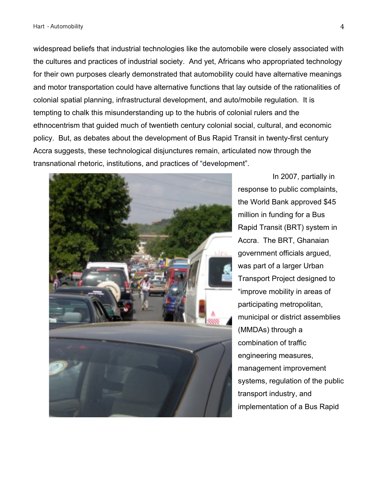widespread beliefs that industrial technologies like the automobile were closely associated with the cultures and practices of industrial society. And yet, Africans who appropriated technology for their own purposes clearly demonstrated that automobility could have alternative meanings and motor transportation could have alternative functions that lay outside of the rationalities of colonial spatial planning, infrastructural development, and auto/mobile regulation. It is tempting to chalk this misunderstanding up to the hubris of colonial rulers and the ethnocentrism that guided much of twentieth century colonial social, cultural, and economic policy. But, as debates about the development of Bus Rapid Transit in twenty-first century Accra suggests, these technological disjunctures remain, articulated now through the transnational rhetoric, institutions, and practices of "development".



 In 2007, partially in response to public complaints, the World Bank approved \$45 million in funding for a Bus Rapid Transit (BRT) system in Accra. The BRT, Ghanaian government officials argued, was part of a larger Urban Transport Project designed to "improve mobility in areas of participating metropolitan, municipal or district assemblies (MMDAs) through a combination of traffic engineering measures, management improvement systems, regulation of the public transport industry, and implementation of a Bus Rapid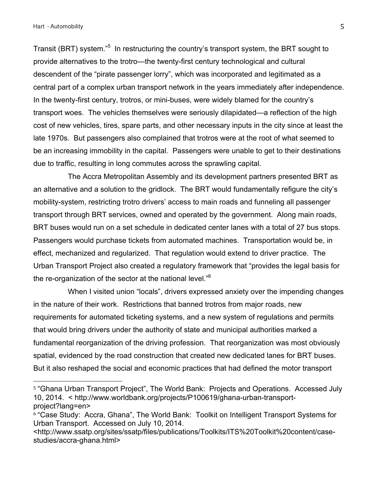Transit (BRT) system."<sup>5</sup> In restructuring the country's transport system, the BRT sought to provide alternatives to the trotro—the twenty-first century technological and cultural descendent of the "pirate passenger lorry", which was incorporated and legitimated as a central part of a complex urban transport network in the years immediately after independence. In the twenty-first century, trotros, or mini-buses, were widely blamed for the country's transport woes. The vehicles themselves were seriously dilapidated—a reflection of the high cost of new vehicles, tires, spare parts, and other necessary inputs in the city since at least the late 1970s. But passengers also complained that trotros were at the root of what seemed to be an increasing immobility in the capital. Passengers were unable to get to their destinations due to traffic, resulting in long commutes across the sprawling capital.

 The Accra Metropolitan Assembly and its development partners presented BRT as an alternative and a solution to the gridlock. The BRT would fundamentally refigure the city's mobility-system, restricting trotro drivers' access to main roads and funneling all passenger transport through BRT services, owned and operated by the government. Along main roads, BRT buses would run on a set schedule in dedicated center lanes with a total of 27 bus stops. Passengers would purchase tickets from automated machines. Transportation would be, in effect, mechanized and regularized. That regulation would extend to driver practice. The Urban Transport Project also created a regulatory framework that "provides the legal basis for the re-organization of the sector at the national level."6

 When I visited union "locals", drivers expressed anxiety over the impending changes in the nature of their work. Restrictions that banned trotros from major roads, new requirements for automated ticketing systems, and a new system of regulations and permits that would bring drivers under the authority of state and municipal authorities marked a fundamental reorganization of the driving profession. That reorganization was most obviously spatial, evidenced by the road construction that created new dedicated lanes for BRT buses. But it also reshaped the social and economic practices that had defined the motor transport

<sup>5</sup> "Ghana Urban Transport Project", The World Bank: Projects and Operations. Accessed July 10, 2014. < http://www.worldbank.org/projects/P100619/ghana-urban-transportproject?lang=en>

<sup>6</sup> "Case Study: Accra, Ghana", The World Bank: Toolkit on Intelligent Transport Systems for Urban Transport. Accessed on July 10, 2014.

<sup>&</sup>lt;http://www.ssatp.org/sites/ssatp/files/publications/Toolkits/ITS%20Toolkit%20content/casestudies/accra-ghana.html>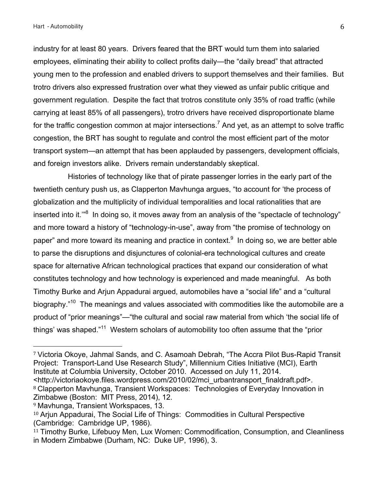industry for at least 80 years. Drivers feared that the BRT would turn them into salaried employees, eliminating their ability to collect profits daily—the "daily bread" that attracted young men to the profession and enabled drivers to support themselves and their families. But trotro drivers also expressed frustration over what they viewed as unfair public critique and government regulation. Despite the fact that trotros constitute only 35% of road traffic (while carrying at least 85% of all passengers), trotro drivers have received disproportionate blame for the traffic congestion common at major intersections.<sup>7</sup> And yet, as an attempt to solve traffic congestion, the BRT has sought to regulate and control the most efficient part of the motor transport system—an attempt that has been applauded by passengers, development officials, and foreign investors alike. Drivers remain understandably skeptical.

 Histories of technology like that of pirate passenger lorries in the early part of the twentieth century push us, as Clapperton Mavhunga argues, "to account for 'the process of globalization and the multiplicity of individual temporalities and local rationalities that are inserted into it."<sup>8</sup> In doing so, it moves away from an analysis of the "spectacle of technology" and more toward a history of "technology-in-use", away from "the promise of technology on paper" and more toward its meaning and practice in context.<sup>9</sup> In doing so, we are better able to parse the disruptions and disjunctures of colonial-era technological cultures and create space for alternative African technological practices that expand our consideration of what constitutes technology and how technology is experienced and made meaningful. As both Timothy Burke and Arjun Appadurai argued, automobiles have a "social life" and a "cultural biography."<sup>10</sup> The meanings and values associated with commodities like the automobile are a product of "prior meanings"—"the cultural and social raw material from which 'the social life of things' was shaped."<sup>11</sup> Western scholars of automobility too often assume that the "prior

8 Clapperton Mavhunga, Transient Workspaces: Technologies of Everyday Innovation in Zimbabwe (Boston: MIT Press, 2014), 12.

 

<sup>7</sup> Victoria Okoye, Jahmal Sands, and C. Asamoah Debrah, "The Accra Pilot Bus-Rapid Transit Project: Transport-Land Use Research Study", Millennium Cities Initiative (MCI), Earth Institute at Columbia University, October 2010. Accessed on July 11, 2014. <http://victoriaokoye.files.wordpress.com/2010/02/mci\_urbantransport\_finaldraft.pdf>.

<sup>9</sup> Mavhunga, Transient Workspaces, 13.

<sup>&</sup>lt;sup>10</sup> Arjun Appadurai, The Social Life of Things: Commodities in Cultural Perspective (Cambridge: Cambridge UP, 1986).

<sup>&</sup>lt;sup>11</sup> Timothy Burke, Lifebuoy Men, Lux Women: Commodification, Consumption, and Cleanliness in Modern Zimbabwe (Durham, NC: Duke UP, 1996), 3.